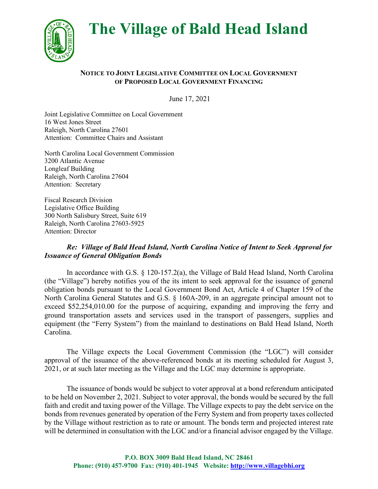**The Village of Bald Head Island**



## **NOTICE TO JOINT LEGISLATIVE COMMITTEE ON LOCAL GOVERNMENT OF PROPOSED LOCAL GOVERNMENT FINANCING**

June 17, 2021

Joint Legislative Committee on Local Government 16 West Jones Street Raleigh, North Carolina 27601 Attention: Committee Chairs and Assistant

North Carolina Local Government Commission 3200 Atlantic Avenue Longleaf Building Raleigh, North Carolina 27604 Attention: Secretary

Fiscal Research Division Legislative Office Building 300 North Salisbury Street, Suite 619 Raleigh, North Carolina 27603-5925 Attention: Director

## *Re: Village of Bald Head Island, North Carolina Notice of Intent to Seek Approval for Issuance of General Obligation Bonds*

In accordance with G.S. § 120-157.2(a), the Village of Bald Head Island, North Carolina (the "Village") hereby notifies you of the its intent to seek approval for the issuance of general obligation bonds pursuant to the Local Government Bond Act, Article 4 of Chapter 159 of the North Carolina General Statutes and G.S. § 160A-209, in an aggregate principal amount not to exceed \$52,254,010.00 for the purpose of acquiring, expanding and improving the ferry and ground transportation assets and services used in the transport of passengers, supplies and equipment (the "Ferry System") from the mainland to destinations on Bald Head Island, North Carolina.

The Village expects the Local Government Commission (the "LGC") will consider approval of the issuance of the above-referenced bonds at its meeting scheduled for August 3, 2021, or at such later meeting as the Village and the LGC may determine is appropriate.

The issuance of bonds would be subject to voter approval at a bond referendum anticipated to be held on November 2, 2021. Subject to voter approval, the bonds would be secured by the full faith and credit and taxing power of the Village. The Village expects to pay the debt service on the bonds from revenues generated by operation of the Ferry System and from property taxes collected by the Village without restriction as to rate or amount. The bonds term and projected interest rate will be determined in consultation with the LGC and/or a financial advisor engaged by the Village.